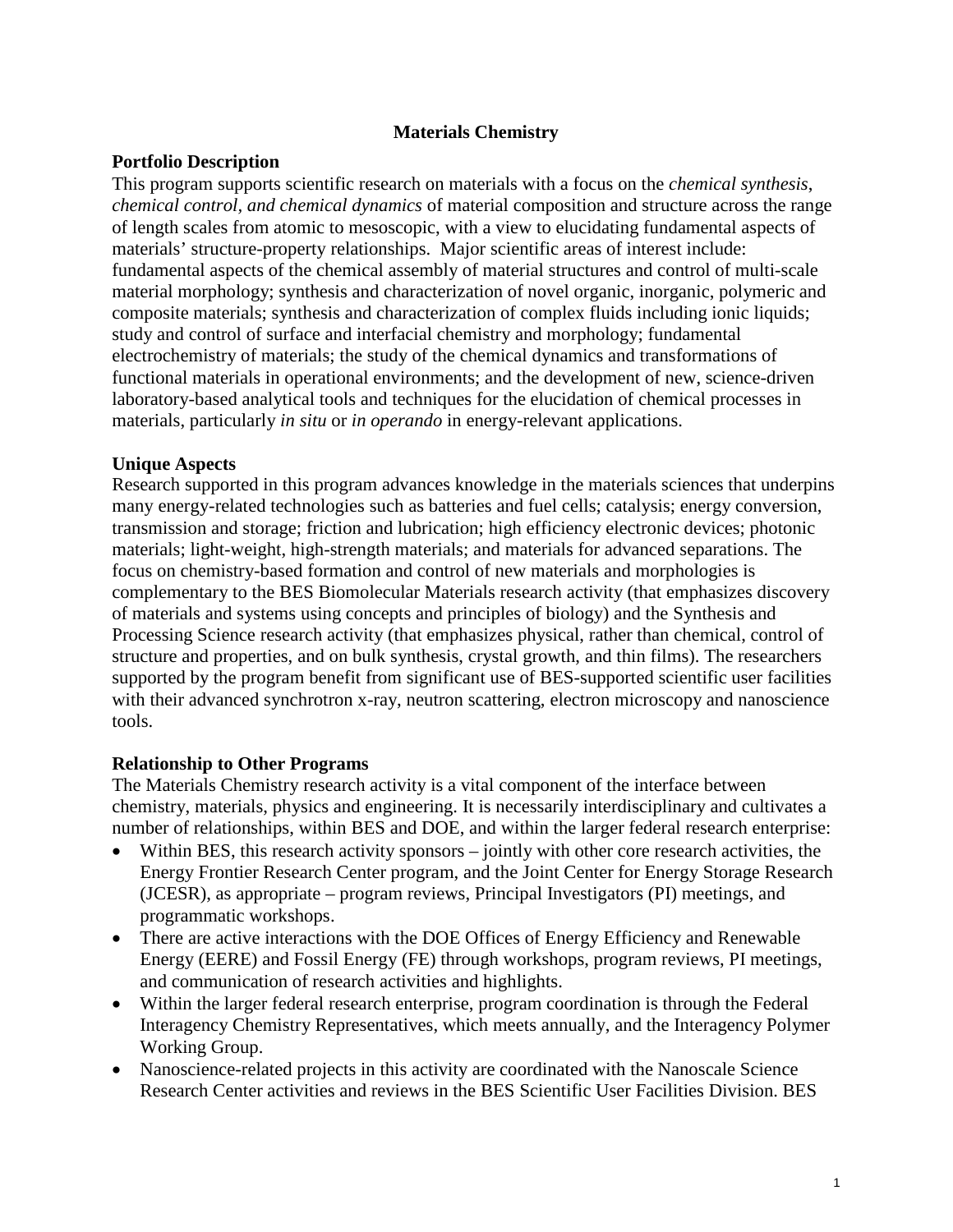## **Materials Chemistry**

## **Portfolio Description**

This program supports scientific research on materials with a focus on the *chemical synthesis*, *chemical control, and chemical dynamics* of material composition and structure across the range of length scales from atomic to mesoscopic, with a view to elucidating fundamental aspects of materials' structure-property relationships. Major scientific areas of interest include: fundamental aspects of the chemical assembly of material structures and control of multi-scale material morphology; synthesis and characterization of novel organic, inorganic, polymeric and composite materials; synthesis and characterization of complex fluids including ionic liquids; study and control of surface and interfacial chemistry and morphology; fundamental electrochemistry of materials; the study of the chemical dynamics and transformations of functional materials in operational environments; and the development of new, science-driven laboratory-based analytical tools and techniques for the elucidation of chemical processes in materials, particularly *in situ* or *in operando* in energy-relevant applications.

## **Unique Aspects**

Research supported in this program advances knowledge in the materials sciences that underpins many energy-related technologies such as batteries and fuel cells; catalysis; energy conversion, transmission and storage; friction and lubrication; high efficiency electronic devices; photonic materials; light-weight, high-strength materials; and materials for advanced separations. The focus on chemistry-based formation and control of new materials and morphologies is complementary to the BES Biomolecular Materials research activity (that emphasizes discovery of materials and systems using concepts and principles of biology) and the Synthesis and Processing Science research activity (that emphasizes physical, rather than chemical, control of structure and properties, and on bulk synthesis, crystal growth, and thin films). The researchers supported by the program benefit from significant use of BES-supported scientific user facilities with their advanced synchrotron x-ray, neutron scattering, electron microscopy and nanoscience tools.

#### **Relationship to Other Programs**

The Materials Chemistry research activity is a vital component of the interface between chemistry, materials, physics and engineering. It is necessarily interdisciplinary and cultivates a number of relationships, within BES and DOE, and within the larger federal research enterprise:

- Within BES, this research activity sponsors jointly with other core research activities, the Energy Frontier Research Center program, and the Joint Center for Energy Storage Research (JCESR), as appropriate – program reviews, Principal Investigators (PI) meetings, and programmatic workshops.
- There are active interactions with the DOE Offices of Energy Efficiency and Renewable Energy (EERE) and Fossil Energy (FE) through workshops, program reviews, PI meetings, and communication of research activities and highlights.
- Within the larger federal research enterprise, program coordination is through the Federal Interagency Chemistry Representatives, which meets annually, and the Interagency Polymer Working Group.
- Nanoscience-related projects in this activity are coordinated with the Nanoscale Science Research Center activities and reviews in the BES Scientific User Facilities Division. BES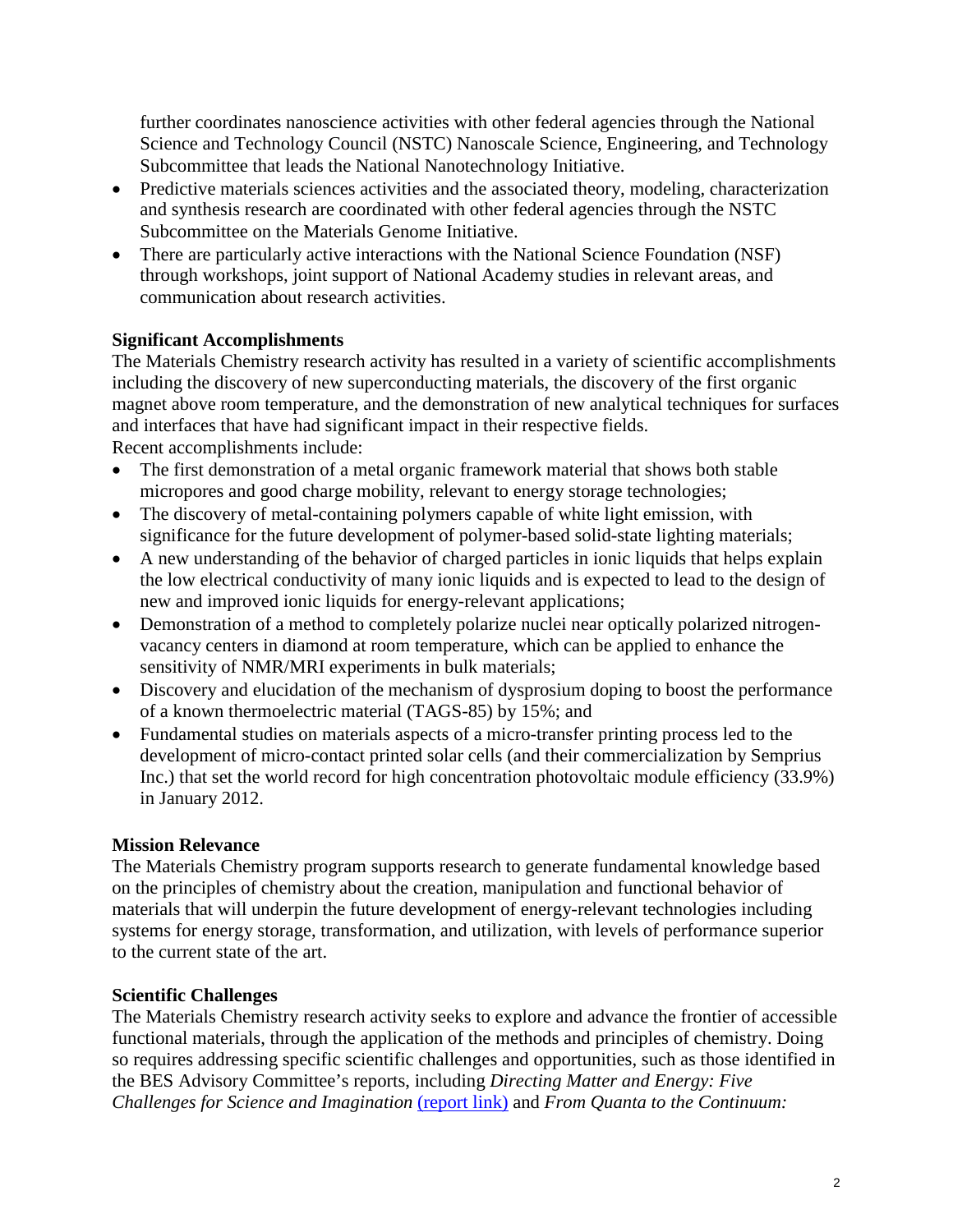further coordinates nanoscience activities with other federal agencies through the National Science and Technology Council (NSTC) Nanoscale Science, Engineering, and Technology Subcommittee that leads the National Nanotechnology Initiative.

- Predictive materials sciences activities and the associated theory, modeling, characterization and synthesis research are coordinated with other federal agencies through the NSTC Subcommittee on the Materials Genome Initiative.
- There are particularly active interactions with the National Science Foundation (NSF) through workshops, joint support of National Academy studies in relevant areas, and communication about research activities.

# **Significant Accomplishments**

The Materials Chemistry research activity has resulted in a variety of scientific accomplishments including the discovery of new superconducting materials, the discovery of the first organic magnet above room temperature, and the demonstration of new analytical techniques for surfaces and interfaces that have had significant impact in their respective fields.

Recent accomplishments include:

- The first demonstration of a metal organic framework material that shows both stable micropores and good charge mobility, relevant to energy storage technologies;
- The discovery of metal-containing polymers capable of white light emission, with significance for the future development of polymer-based solid-state lighting materials;
- A new understanding of the behavior of charged particles in ionic liquids that helps explain the low electrical conductivity of many ionic liquids and is expected to lead to the design of new and improved ionic liquids for energy-relevant applications;
- Demonstration of a method to completely polarize nuclei near optically polarized nitrogenvacancy centers in diamond at room temperature, which can be applied to enhance the sensitivity of NMR/MRI experiments in bulk materials;
- Discovery and elucidation of the mechanism of dysprosium doping to boost the performance of a known thermoelectric material (TAGS-85) by 15%; and
- Fundamental studies on materials aspects of a micro-transfer printing process led to the development of micro-contact printed solar cells (and their commercialization by Semprius Inc.) that set the world record for high concentration photovoltaic module efficiency (33.9%) in January 2012.

## **Mission Relevance**

The Materials Chemistry program supports research to generate fundamental knowledge based on the principles of chemistry about the creation, manipulation and functional behavior of materials that will underpin the future development of energy-relevant technologies including systems for energy storage, transformation, and utilization, with levels of performance superior to the current state of the art.

# **Scientific Challenges**

The Materials Chemistry research activity seeks to explore and advance the frontier of accessible functional materials, through the application of the methods and principles of chemistry. Doing so requires addressing specific scientific challenges and opportunities, such as those identified in the BES Advisory Committee's reports, including *Directing Matter and Energy: Five Challenges for Science and Imagination* [\(report link\)](http://science.energy.gov/~/media/bes/pdf/reports/files/gc_rpt.pdf) and *From Quanta to the Continuum:*